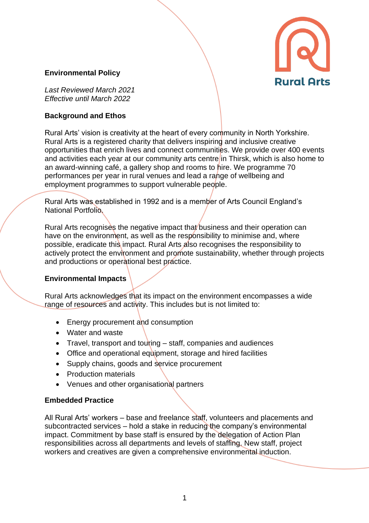### **Environmental Policy**



*Last Reviewed March 2021 Effective until March 2022*

### **Background and Ethos**

Rural Arts' vision is creativity at the heart of every community in North Yorkshire. Rural Arts is a registered charity that delivers inspiring and inclusive creative opportunities that enrich lives and connect communities. We provide over 400 events and activities each year at our community arts centre in Thirsk, which is also home to an award-winning café, a gallery shop and rooms to hire. We programme 70 performances per year in rural venues and lead a range of wellbeing and employment programmes to support vulnerable people.

Rural Arts was established in 1992 and is a member of Arts Council England's National Portfolio.

Rural Arts recognises the negative impact that business and their operation can have on the environment, as well as the responsibility to minimise and, where possible, eradicate this impact. Rural Arts also recognises the responsibility to actively protect the environment and promote sustainability, whether through projects and productions or operational best practice.

#### **Environmental Impacts**

Rural Arts acknowledges that its impact on the environment encompasses a wide range of resources and activity. This includes but is not limited to:

- Energy procurement and consumption
- Water and waste
- Travel, transport and touring staff, companies and audiences
- Office and operational equipment, storage and hired facilities
- Supply chains, goods and service procurement
- Production materials
- Venues and other organisational partners

#### **Embedded Practice**

All Rural Arts' workers – base and freelance staff, volunteers and placements and subcontracted services – hold a stake in reducing the company's environmental impact. Commitment by base staff is ensured by the delegation of Action Plan responsibilities across all departments and levels of staffing. New staff, project workers and creatives are given a comprehensive environmental induction.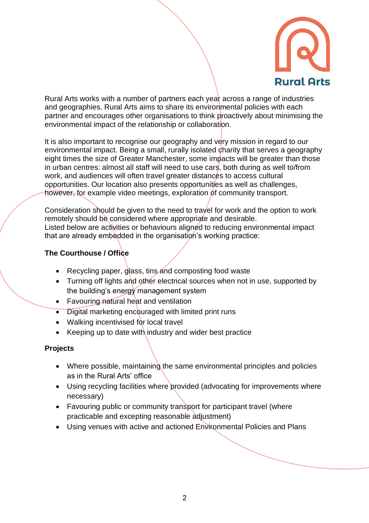

Rural Arts works with a number of partners each year across a range of industries and geographies. Rural Arts aims to share its environmental policies with each partner and encourages other organisations to think proactively about minimising the environmental impact of the relationship or collaboration.

It is also important to recognise our geography and very mission in regard to our environmental impact. Being a small, rurally isolated charity that serves a geography eight times the size of Greater Manchester, some impacts will be greater than those in urban centres: almost all staff will need to use cars, both during as well to/from work, and audiences will often travel greater distances to access cultural opportunities. Our location also presents opportunities as well as challenges, however, for example video meetings, exploration of community transport.

Consideration should be given to the need to travel for work and the option to work remotely should be considered where appropriate and desirable. Listed below are activities or behaviours aligned to reducing environmental impact that are already embedded in the organisation's working practice:

# **The Courthouse / Office**

- Recycling paper, glass, tins and composting food waste
- Turning off lights and other electrical sources when not in use, supported by the building's energy management system
- Favouring natural heat and ventilation
- Digital marketing encouraged with limited print runs
- Walking incentivised for local travel
- Keeping up to date with industry and wider best practice

## **Projects**

- Where possible, maintaining the same environmental principles and policies as in the Rural Arts' office
- Using recycling facilities where provided (advocating for improvements where necessary)
- Favouring public or community transport for participant travel (where practicable and excepting reasonable adjustment)
- Using venues with active and actioned Environmental Policies and Plans